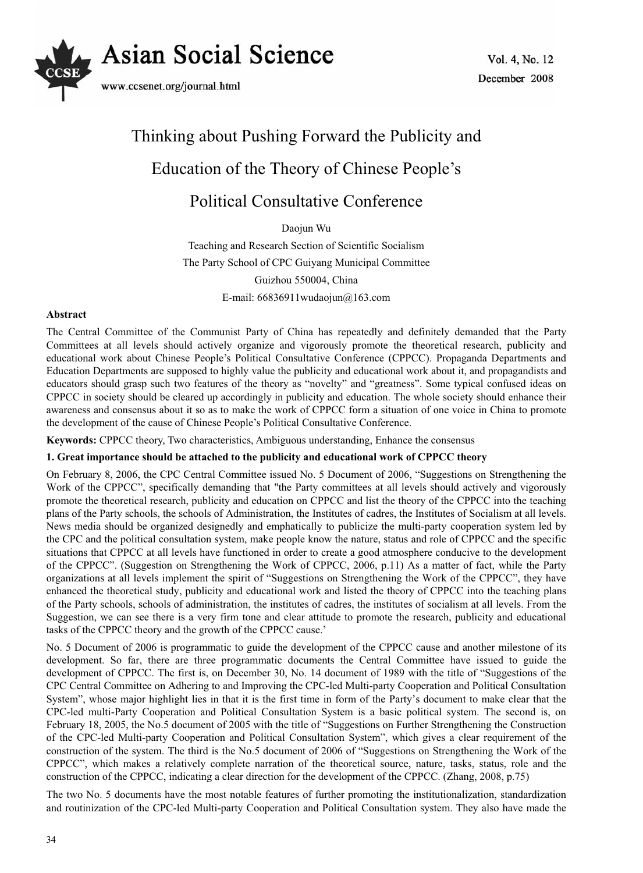

# Thinking about Pushing Forward the Publicity and Education of the Theory of Chinese People's Political Consultative Conference

Daojun Wu

Teaching and Research Section of Scientific Socialism The Party School of CPC Guiyang Municipal Committee Guizhou 550004, China E-mail: 66836911wudaojun@163.com

# **Abstract**

The Central Committee of the Communist Party of China has repeatedly and definitely demanded that the Party Committees at all levels should actively organize and vigorously promote the theoretical research, publicity and educational work about Chinese People's Political Consultative Conference (CPPCC). Propaganda Departments and Education Departments are supposed to highly value the publicity and educational work about it, and propagandists and educators should grasp such two features of the theory as "novelty" and "greatness". Some typical confused ideas on CPPCC in society should be cleared up accordingly in publicity and education. The whole society should enhance their awareness and consensus about it so as to make the work of CPPCC form a situation of one voice in China to promote the development of the cause of Chinese People's Political Consultative Conference.

**Keywords:** CPPCC theory, Two characteristics, Ambiguous understanding, Enhance the consensus

# **1. Great importance should be attached to the publicity and educational work of CPPCC theory**

On February 8, 2006, the CPC Central Committee issued No. 5 Document of 2006, "Suggestions on Strengthening the Work of the CPPCC", specifically demanding that "the Party committees at all levels should actively and vigorously promote the theoretical research, publicity and education on CPPCC and list the theory of the CPPCC into the teaching plans of the Party schools, the schools of Administration, the Institutes of cadres, the Institutes of Socialism at all levels. News media should be organized designedly and emphatically to publicize the multi-party cooperation system led by the CPC and the political consultation system, make people know the nature, status and role of CPPCC and the specific situations that CPPCC at all levels have functioned in order to create a good atmosphere conducive to the development of the CPPCC". (Suggestion on Strengthening the Work of CPPCC, 2006, p.11) As a matter of fact, while the Party organizations at all levels implement the spirit of "Suggestions on Strengthening the Work of the CPPCC", they have enhanced the theoretical study, publicity and educational work and listed the theory of CPPCC into the teaching plans of the Party schools, schools of administration, the institutes of cadres, the institutes of socialism at all levels. From the Suggestion, we can see there is a very firm tone and clear attitude to promote the research, publicity and educational tasks of the CPPCC theory and the growth of the CPPCC cause.'

No. 5 Document of 2006 is programmatic to guide the development of the CPPCC cause and another milestone of its development. So far, there are three programmatic documents the Central Committee have issued to guide the development of CPPCC. The first is, on December 30, No. 14 document of 1989 with the title of "Suggestions of the CPC Central Committee on Adhering to and Improving the CPC-led Multi-party Cooperation and Political Consultation System", whose major highlight lies in that it is the first time in form of the Party's document to make clear that the CPC-led multi-Party Cooperation and Political Consultation System is a basic political system. The second is, on February 18, 2005, the No.5 document of 2005 with the title of "Suggestions on Further Strengthening the Construction of the CPC-led Multi-party Cooperation and Political Consultation System", which gives a clear requirement of the construction of the system. The third is the No.5 document of 2006 of "Suggestions on Strengthening the Work of the CPPCC", which makes a relatively complete narration of the theoretical source, nature, tasks, status, role and the construction of the CPPCC, indicating a clear direction for the development of the CPPCC. (Zhang, 2008, p.75)

The two No. 5 documents have the most notable features of further promoting the institutionalization, standardization and routinization of the CPC-led Multi-party Cooperation and Political Consultation system. They also have made the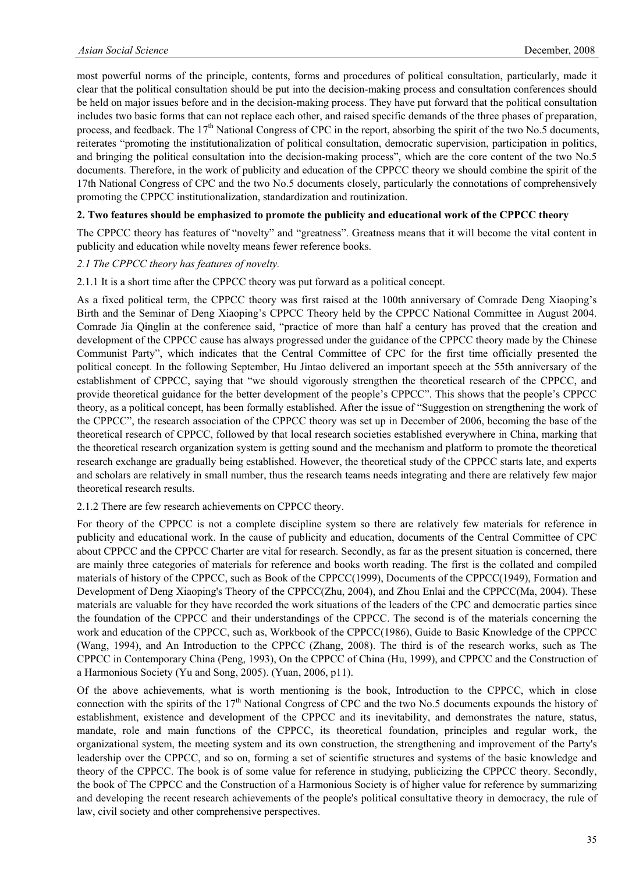most powerful norms of the principle, contents, forms and procedures of political consultation, particularly, made it clear that the political consultation should be put into the decision-making process and consultation conferences should be held on major issues before and in the decision-making process. They have put forward that the political consultation includes two basic forms that can not replace each other, and raised specific demands of the three phases of preparation, process, and feedback. The  $17<sup>th</sup>$  National Congress of CPC in the report, absorbing the spirit of the two No.5 documents, reiterates "promoting the institutionalization of political consultation, democratic supervision, participation in politics, and bringing the political consultation into the decision-making process", which are the core content of the two No.5 documents. Therefore, in the work of publicity and education of the CPPCC theory we should combine the spirit of the 17th National Congress of CPC and the two No.5 documents closely, particularly the connotations of comprehensively promoting the CPPCC institutionalization, standardization and routinization.

#### **2. Two features should be emphasized to promote the publicity and educational work of the CPPCC theory**

The CPPCC theory has features of "novelty" and "greatness". Greatness means that it will become the vital content in publicity and education while novelty means fewer reference books.

#### *2.1 The CPPCC theory has features of novelty.*

2.1.1 It is a short time after the CPPCC theory was put forward as a political concept.

As a fixed political term, the CPPCC theory was first raised at the 100th anniversary of Comrade Deng Xiaoping's Birth and the Seminar of Deng Xiaoping's CPPCC Theory held by the CPPCC National Committee in August 2004. Comrade Jia Qinglin at the conference said, "practice of more than half a century has proved that the creation and development of the CPPCC cause has always progressed under the guidance of the CPPCC theory made by the Chinese Communist Party", which indicates that the Central Committee of CPC for the first time officially presented the political concept. In the following September, Hu Jintao delivered an important speech at the 55th anniversary of the establishment of CPPCC, saying that "we should vigorously strengthen the theoretical research of the CPPCC, and provide theoretical guidance for the better development of the people's CPPCC". This shows that the people's CPPCC theory, as a political concept, has been formally established. After the issue of "Suggestion on strengthening the work of the CPPCC", the research association of the CPPCC theory was set up in December of 2006, becoming the base of the theoretical research of CPPCC, followed by that local research societies established everywhere in China, marking that the theoretical research organization system is getting sound and the mechanism and platform to promote the theoretical research exchange are gradually being established. However, the theoretical study of the CPPCC starts late, and experts and scholars are relatively in small number, thus the research teams needs integrating and there are relatively few major theoretical research results.

#### 2.1.2 There are few research achievements on CPPCC theory.

For theory of the CPPCC is not a complete discipline system so there are relatively few materials for reference in publicity and educational work. In the cause of publicity and education, documents of the Central Committee of CPC about CPPCC and the CPPCC Charter are vital for research. Secondly, as far as the present situation is concerned, there are mainly three categories of materials for reference and books worth reading. The first is the collated and compiled materials of history of the CPPCC, such as Book of the CPPCC(1999), Documents of the CPPCC(1949), Formation and Development of Deng Xiaoping's Theory of the CPPCC(Zhu, 2004), and Zhou Enlai and the CPPCC(Ma, 2004). These materials are valuable for they have recorded the work situations of the leaders of the CPC and democratic parties since the foundation of the CPPCC and their understandings of the CPPCC. The second is of the materials concerning the work and education of the CPPCC, such as, Workbook of the CPPCC(1986), Guide to Basic Knowledge of the CPPCC (Wang, 1994), and An Introduction to the CPPCC (Zhang, 2008). The third is of the research works, such as The CPPCC in Contemporary China (Peng, 1993), On the CPPCC of China (Hu, 1999), and CPPCC and the Construction of a Harmonious Society (Yu and Song, 2005). (Yuan, 2006, p11).

Of the above achievements, what is worth mentioning is the book, Introduction to the CPPCC, which in close connection with the spirits of the  $17<sup>th</sup>$  National Congress of CPC and the two No.5 documents expounds the history of establishment, existence and development of the CPPCC and its inevitability, and demonstrates the nature, status, mandate, role and main functions of the CPPCC, its theoretical foundation, principles and regular work, the organizational system, the meeting system and its own construction, the strengthening and improvement of the Party's leadership over the CPPCC, and so on, forming a set of scientific structures and systems of the basic knowledge and theory of the CPPCC. The book is of some value for reference in studying, publicizing the CPPCC theory. Secondly, the book of The CPPCC and the Construction of a Harmonious Society is of higher value for reference by summarizing and developing the recent research achievements of the people's political consultative theory in democracy, the rule of law, civil society and other comprehensive perspectives.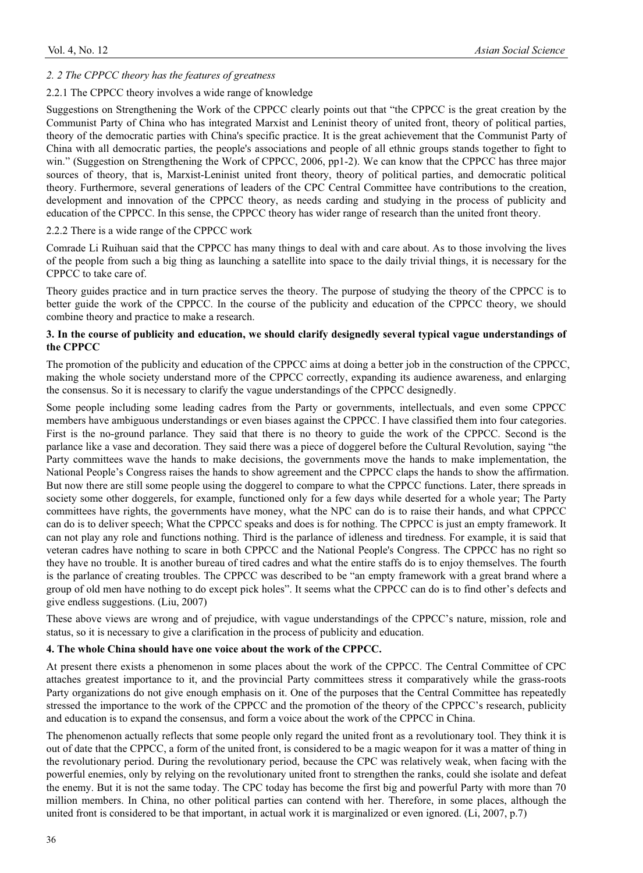## *2. 2 The CPPCC theory has the features of greatness*

## 2.2.1 The CPPCC theory involves a wide range of knowledge

Suggestions on Strengthening the Work of the CPPCC clearly points out that "the CPPCC is the great creation by the Communist Party of China who has integrated Marxist and Leninist theory of united front, theory of political parties, theory of the democratic parties with China's specific practice. It is the great achievement that the Communist Party of China with all democratic parties, the people's associations and people of all ethnic groups stands together to fight to win." (Suggestion on Strengthening the Work of CPPCC, 2006, pp1-2). We can know that the CPPCC has three major sources of theory, that is, Marxist-Leninist united front theory, theory of political parties, and democratic political theory. Furthermore, several generations of leaders of the CPC Central Committee have contributions to the creation, development and innovation of the CPPCC theory, as needs carding and studying in the process of publicity and education of the CPPCC. In this sense, the CPPCC theory has wider range of research than the united front theory.

#### 2.2.2 There is a wide range of the CPPCC work

Comrade Li Ruihuan said that the CPPCC has many things to deal with and care about. As to those involving the lives of the people from such a big thing as launching a satellite into space to the daily trivial things, it is necessary for the CPPCC to take care of.

Theory guides practice and in turn practice serves the theory. The purpose of studying the theory of the CPPCC is to better guide the work of the CPPCC. In the course of the publicity and education of the CPPCC theory, we should combine theory and practice to make a research.

# **3. In the course of publicity and education, we should clarify designedly several typical vague understandings of the CPPCC**

The promotion of the publicity and education of the CPPCC aims at doing a better job in the construction of the CPPCC, making the whole society understand more of the CPPCC correctly, expanding its audience awareness, and enlarging the consensus. So it is necessary to clarify the vague understandings of the CPPCC designedly.

Some people including some leading cadres from the Party or governments, intellectuals, and even some CPPCC members have ambiguous understandings or even biases against the CPPCC. I have classified them into four categories. First is the no-ground parlance. They said that there is no theory to guide the work of the CPPCC. Second is the parlance like a vase and decoration. They said there was a piece of doggerel before the Cultural Revolution, saying "the Party committees wave the hands to make decisions, the governments move the hands to make implementation, the National People's Congress raises the hands to show agreement and the CPPCC claps the hands to show the affirmation. But now there are still some people using the doggerel to compare to what the CPPCC functions. Later, there spreads in society some other doggerels, for example, functioned only for a few days while deserted for a whole year; The Party committees have rights, the governments have money, what the NPC can do is to raise their hands, and what CPPCC can do is to deliver speech; What the CPPCC speaks and does is for nothing. The CPPCC is just an empty framework. It can not play any role and functions nothing. Third is the parlance of idleness and tiredness. For example, it is said that veteran cadres have nothing to scare in both CPPCC and the National People's Congress. The CPPCC has no right so they have no trouble. It is another bureau of tired cadres and what the entire staffs do is to enjoy themselves. The fourth is the parlance of creating troubles. The CPPCC was described to be "an empty framework with a great brand where a group of old men have nothing to do except pick holes". It seems what the CPPCC can do is to find other's defects and give endless suggestions. (Liu, 2007)

These above views are wrong and of prejudice, with vague understandings of the CPPCC's nature, mission, role and status, so it is necessary to give a clarification in the process of publicity and education.

## **4. The whole China should have one voice about the work of the CPPCC.**

At present there exists a phenomenon in some places about the work of the CPPCC. The Central Committee of CPC attaches greatest importance to it, and the provincial Party committees stress it comparatively while the grass-roots Party organizations do not give enough emphasis on it. One of the purposes that the Central Committee has repeatedly stressed the importance to the work of the CPPCC and the promotion of the theory of the CPPCC's research, publicity and education is to expand the consensus, and form a voice about the work of the CPPCC in China.

The phenomenon actually reflects that some people only regard the united front as a revolutionary tool. They think it is out of date that the CPPCC, a form of the united front, is considered to be a magic weapon for it was a matter of thing in the revolutionary period. During the revolutionary period, because the CPC was relatively weak, when facing with the powerful enemies, only by relying on the revolutionary united front to strengthen the ranks, could she isolate and defeat the enemy. But it is not the same today. The CPC today has become the first big and powerful Party with more than 70 million members. In China, no other political parties can contend with her. Therefore, in some places, although the united front is considered to be that important, in actual work it is marginalized or even ignored. (Li, 2007, p.7)